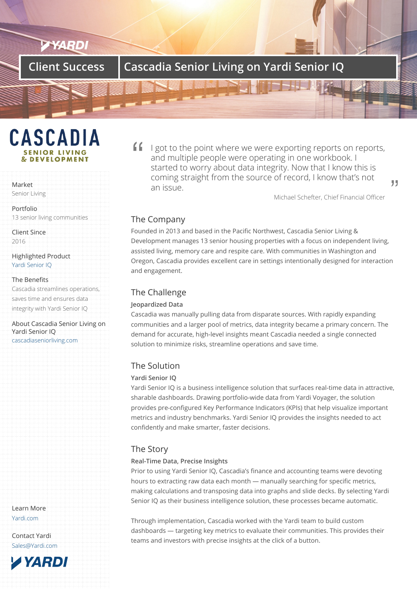## **Client Success Cascadia Senior Living on Yardi Senior IQ**

# **CASCADIA & DEVELOPMENT**

#### Market

Senior Living

Portfolio 13 senior living communities

Client Since 2016

Highlighted Product Yardi Senior IQ

#### The Benefits

Cascadia streamlines operations, [saves time and](/products/senior-iq/) ensures data integrity with Yardi Senior IQ

About Cascadia Senior Living on Yardi Senior IQ cascadiaseniorliving.com

Learn More Yardi.com

Contact Yardi Sales@Yardi.com If  $\Box$  i got to the point where we were exporting reports on reports, and multiple people were operating in one workbook. I started to worry about data integrity. Now that I know this is coming straight from the source of record, I know that's not an issue.

Michael Schefter, Chief Financial Officer

99

### The Company

Founded in 2013 and based in the Pacific Northwest, Cascadia Senior Living & Development manages 13 senior housing properties with a focus on independent living, assisted living, memory care and respite care. With communities in Washington and Oregon, Cascadia provides excellent care in settings intentionally designed for interaction and engagement.

### The Challenge

#### **Jeopardized Data**

Cascadia was manually pulling data from disparate sources. With rapidly expanding communities and a larger pool of metrics, data integrity became a primary concern. The demand for accurate, high-level insights meant Cascadia needed a single connected solution to minimize risks, streamline operations and save time.

#### The Solution

#### **Yardi Senior IQ**

Yardi Senior IQ is a business intelligence solution that surfaces real-time data in attractive, sharable dashboards. Drawing portfolio-wide data from Yardi Voyager, the solution provides pre-configured Key Performance Indicators (KPIs) that help visualize important metrics and industry benchmarks. Yardi Senior IQ provides the insights needed to act confidently and make smarter, faster decisions.

### The Story

#### **Real-Time Data, Precise Insights**

Prior to using Yardi Senior IQ, Cascadia's finance and accounting teams were devoting hours to extracting raw data each month — manually searching for specific metrics, making calculations and transposing data into graphs and slide decks. By selecting Yardi Senior IQ as their business intelligence solution, these processes became automatic.

Through implementation, Cascadia worked with the Yardi team to build custom dashboards — targeting key metrics to evaluate their communities. This provides their teams and investors with precise insights at the click of a button.